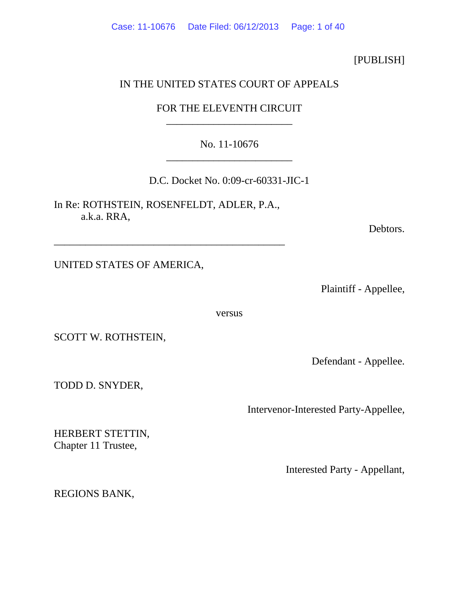# [PUBLISH]

# IN THE UNITED STATES COURT OF APPEALS

# FOR THE ELEVENTH CIRCUIT \_\_\_\_\_\_\_\_\_\_\_\_\_\_\_\_\_\_\_\_\_\_\_\_

# No. 11-10676 \_\_\_\_\_\_\_\_\_\_\_\_\_\_\_\_\_\_\_\_\_\_\_\_

D.C. Docket No. 0:09-cr-60331-JIC-1

In Re: ROTHSTEIN, ROSENFELDT, ADLER, P.A., a.k.a. RRA,

\_\_\_\_\_\_\_\_\_\_\_\_\_\_\_\_\_\_\_\_\_\_\_\_\_\_\_\_\_\_\_\_\_\_\_\_\_\_\_\_\_\_\_\_

Debtors.

UNITED STATES OF AMERICA,

Plaintiff - Appellee,

versus

SCOTT W. ROTHSTEIN,

Defendant - Appellee.

TODD D. SNYDER,

Intervenor-Interested Party-Appellee,

HERBERT STETTIN, Chapter 11 Trustee,

Interested Party - Appellant,

REGIONS BANK,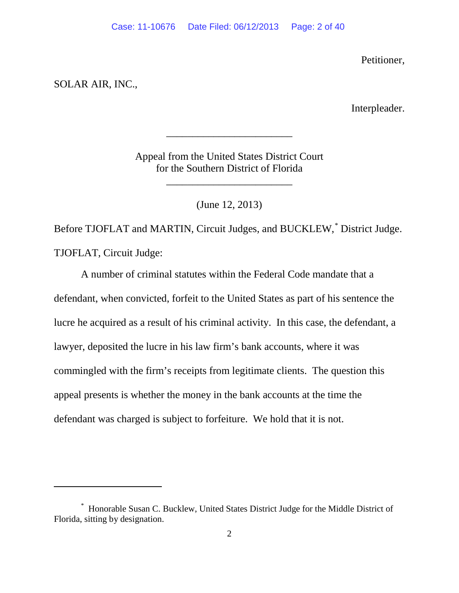Petitioner,

# SOLAR AIR, INC.,

 $\overline{a}$ 

Interpleader.

Appeal from the United States District Court for the Southern District of Florida

\_\_\_\_\_\_\_\_\_\_\_\_\_\_\_\_\_\_\_\_\_\_\_\_

\_\_\_\_\_\_\_\_\_\_\_\_\_\_\_\_\_\_\_\_\_\_\_\_

(June 12, 2013)

Before TJOFLAT and MARTIN, Circuit Judges, and BUCKLEW,[\\*](#page-1-0) District Judge. TJOFLAT, Circuit Judge:

A number of criminal statutes within the Federal Code mandate that a defendant, when convicted, forfeit to the United States as part of his sentence the lucre he acquired as a result of his criminal activity. In this case, the defendant, a lawyer, deposited the lucre in his law firm's bank accounts, where it was commingled with the firm's receipts from legitimate clients. The question this appeal presents is whether the money in the bank accounts at the time the defendant was charged is subject to forfeiture. We hold that it is not.

<span id="page-1-0"></span><sup>\*</sup> Honorable Susan C. Bucklew, United States District Judge for the Middle District of Florida, sitting by designation.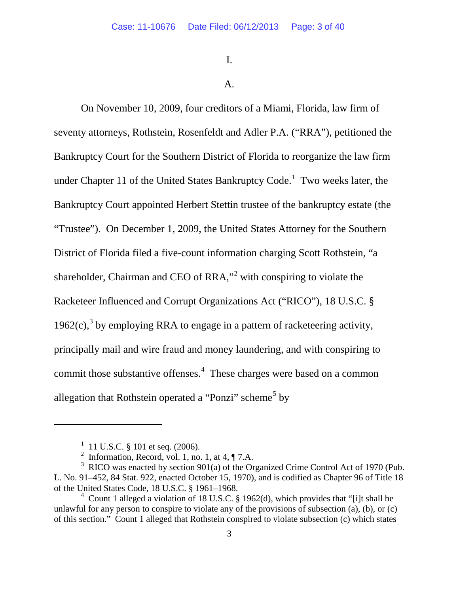I.

# A.

On November 10, 2009, four creditors of a Miami, Florida, law firm of seventy attorneys, Rothstein, Rosenfeldt and Adler P.A. ("RRA"), petitioned the Bankruptcy Court for the Southern District of Florida to reorganize the law firm under Chapter [1](#page-2-0)1 of the United States Bankruptcy Code.<sup>1</sup> Two weeks later, the Bankruptcy Court appointed Herbert Stettin trustee of the bankruptcy estate (the "Trustee"). On December 1, 2009, the United States Attorney for the Southern District of Florida filed a five-count information charging Scott Rothstein, "a shareholder, Chairman and CEO of RRA,"[2](#page-2-1) with conspiring to violate the Racketeer Influenced and Corrupt Organizations Act ("RICO"), 18 U.S.C. § 1962(c),<sup>[3](#page-2-2)</sup> by employing RRA to engage in a pattern of racketeering activity, principally mail and wire fraud and money laundering, and with conspiring to commit those substantive offenses.<sup>[4](#page-2-3)</sup> These charges were based on a common allegation that Rothstein operated a "Ponzi" scheme<sup>[5](#page-2-4)</sup> by

 $1$  11 U.S.C. § 101 et seq. (2006).

<sup>&</sup>lt;sup>2</sup> Information, Record, vol. 1, no. 1, at 4,  $\P$  7.A.

<span id="page-2-4"></span><span id="page-2-2"></span><span id="page-2-1"></span><span id="page-2-0"></span> $3 \text{ RICO}$  was enacted by section 901(a) of the Organized Crime Control Act of 1970 (Pub. L. No. 91–452, 84 Stat. 922, enacted October 15, 1970), and is codified as Chapter 96 of Title 18 of the United States Code, 18 U.S.C. § 1961–1968.

<span id="page-2-3"></span> $4$  Count 1 alleged a violation of 18 U.S.C. § 1962(d), which provides that "[i]t shall be unlawful for any person to conspire to violate any of the provisions of subsection  $(a)$ ,  $(b)$ , or  $(c)$ of this section." Count 1 alleged that Rothstein conspired to violate subsection (c) which states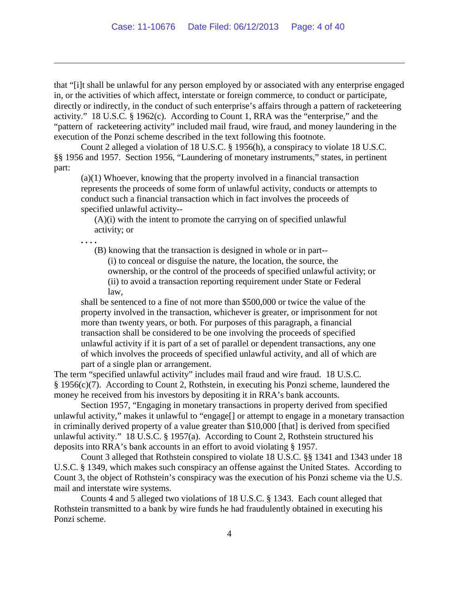that "[i]t shall be unlawful for any person employed by or associated with any enterprise engaged in, or the activities of which affect, interstate or foreign commerce, to conduct or participate, directly or indirectly, in the conduct of such enterprise's affairs through a pattern of racketeering activity." 18 U.S.C. § 1962(c). According to Count 1, RRA was the "enterprise," and the "pattern of racketeering activity" included mail fraud, wire fraud, and money laundering in the execution of the Ponzi scheme described in the text following this footnote.

Count 2 alleged a violation of 18 U.S.C. § 1956(h), a conspiracy to violate 18 U.S.C. §§ 1956 and 1957. Section 1956, "Laundering of monetary instruments," states, in pertinent part:

(a)(1) Whoever, knowing that the property involved in a financial transaction represents the proceeds of some form of unlawful activity, conducts or attempts to conduct such a financial transaction which in fact involves the proceeds of specified unlawful activity--

(A)(i) with the intent to promote the carrying on of specified unlawful activity; or

**. . . .**

 $\overline{a}$ 

(B) knowing that the transaction is designed in whole or in part--

(i) to conceal or disguise the nature, the location, the source, the ownership, or the control of the proceeds of specified unlawful activity; or (ii) to avoid a transaction reporting requirement under State or Federal law,

shall be sentenced to a fine of not more than \$500,000 or twice the value of the property involved in the transaction, whichever is greater, or imprisonment for not more than twenty years, or both. For purposes of this paragraph, a financial transaction shall be considered to be one involving the proceeds of specified unlawful activity if it is part of a set of parallel or dependent transactions, any one of which involves the proceeds of specified unlawful activity, and all of which are part of a single plan or arrangement.

The term "specified unlawful activity" includes mail fraud and wire fraud. 18 U.S.C. § 1956(c)(7). According to Count 2, Rothstein, in executing his Ponzi scheme, laundered the money he received from his investors by depositing it in RRA's bank accounts.

Section 1957, "Engaging in monetary transactions in property derived from specified unlawful activity," makes it unlawful to "engage[] or attempt to engage in a monetary transaction in criminally derived property of a value greater than \$10,000 [that] is derived from specified unlawful activity." 18 U.S.C. § 1957(a). According to Count 2, Rothstein structured his deposits into RRA's bank accounts in an effort to avoid violating § 1957.

Count 3 alleged that Rothstein conspired to violate 18 U.S.C. §§ 1341 and 1343 under 18 U.S.C. § 1349, which makes such conspiracy an offense against the United States. According to Count 3, the object of Rothstein's conspiracy was the execution of his Ponzi scheme via the U.S. mail and interstate wire systems.

Counts 4 and 5 alleged two violations of 18 U.S.C. § 1343. Each count alleged that Rothstein transmitted to a bank by wire funds he had fraudulently obtained in executing his Ponzi scheme.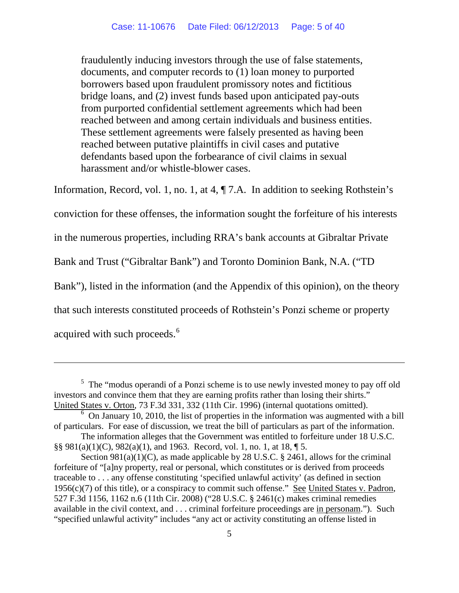fraudulently inducing investors through the use of false statements, documents, and computer records to (1) loan money to purported borrowers based upon fraudulent promissory notes and fictitious bridge loans, and (2) invest funds based upon anticipated pay-outs from purported confidential settlement agreements which had been reached between and among certain individuals and business entities. These settlement agreements were falsely presented as having been reached between putative plaintiffs in civil cases and putative defendants based upon the forbearance of civil claims in sexual harassment and/or whistle-blower cases.

Information, Record, vol. 1, no. 1, at 4, ¶ 7.A. In addition to seeking Rothstein's conviction for these offenses, the information sought the forfeiture of his interests in the numerous properties, including RRA's bank accounts at Gibraltar Private Bank and Trust ("Gibraltar Bank") and Toronto Dominion Bank, N.A. ("TD Bank"), listed in the information (and the Appendix of this opinion), on the theory that such interests constituted proceeds of Rothstein's Ponzi scheme or property acquired with such proceeds.<sup>[6](#page-4-0)</sup>

<sup>&</sup>lt;sup>5</sup> The "modus operandi of a Ponzi scheme is to use newly invested money to pay off old investors and convince them that they are earning profits rather than losing their shirts." United States v. Orton, 73 F.3d 331, 332 (11th Cir. 1996) (internal quotations omitted).

<span id="page-4-0"></span> $6$  On January 10, 2010, the list of properties in the information was augmented with a bill of particulars. For ease of discussion, we treat the bill of particulars as part of the information.

The information alleges that the Government was entitled to forfeiture under 18 U.S.C. §§ 981(a)(1)(C), 982(a)(1), and 1963. Record, vol. 1, no. 1, at 18, ¶ 5.

Section  $981(a)(1)(C)$ , as made applicable by 28 U.S.C. § 2461, allows for the criminal forfeiture of "[a]ny property, real or personal, which constitutes or is derived from proceeds traceable to . . . any offense constituting 'specified unlawful activity' (as defined in section  $1956(c)(7)$  of this title), or a conspiracy to commit such offense." See United States v. Padron, 527 F.3d 1156, 1162 n.6 (11th Cir. 2008) ("28 U.S.C. § 2461(c) makes criminal remedies available in the civil context, and . . . criminal forfeiture proceedings are in personam."). Such "specified unlawful activity" includes "any act or activity constituting an offense listed in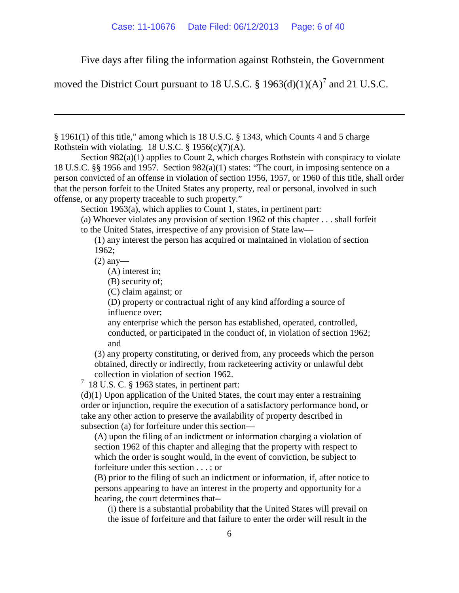<span id="page-5-1"></span>Five days after filing the information against Rothstein, the Government

moved the District Court pursuant to 18 U.S.C.  $\S$  1963(d)(1)(A)<sup>[7](#page-5-0)</sup> and 21 U.S.C.

§ 1961(1) of this title," among which is 18 U.S.C. § 1343, which Counts 4 and 5 charge Rothstein with violating. 18 U.S.C.  $\S$  1956(c)(7)(A).

Section 982(a)(1) applies to Count 2, which charges Rothstein with conspiracy to violate 18 U.S.C. §§ 1956 and 1957. Section 982(a)(1) states: "The court, in imposing sentence on a person convicted of an offense in violation of section 1956, 1957, or 1960 of this title, shall order that the person forfeit to the United States any property, real or personal, involved in such offense, or any property traceable to such property."

Section 1963(a), which applies to Count 1, states, in pertinent part:

(a) Whoever violates any provision of section 1962 of this chapter . . . shall forfeit to the United States, irrespective of any provision of State law—

(1) any interest the person has acquired or maintained in violation of section 1962;

(2) any—

 $\overline{a}$ 

(A) interest in;

(B) security of;

(C) claim against; or

(D) property or contractual right of any kind affording a source of influence over;

any enterprise which the person has established, operated, controlled, conducted, or participated in the conduct of, in violation of section 1962; and

(3) any property constituting, or derived from, any proceeds which the person obtained, directly or indirectly, from racketeering activity or unlawful debt collection in violation of section 1962.

<span id="page-5-0"></span> $7$  18 U.S. C. § 1963 states, in pertinent part:

(d)(1) Upon application of the United States, the court may enter a restraining order or injunction, require the execution of a satisfactory performance bond, or take any other action to preserve the availability of property described in subsection (a) for forfeiture under this section—

(A) upon the filing of an indictment or information charging a violation of section 1962 of this chapter and alleging that the property with respect to which the order is sought would, in the event of conviction, be subject to forfeiture under this section . . . ; or

(B) prior to the filing of such an indictment or information, if, after notice to persons appearing to have an interest in the property and opportunity for a hearing, the court determines that--

(i) there is a substantial probability that the United States will prevail on the issue of forfeiture and that failure to enter the order will result in the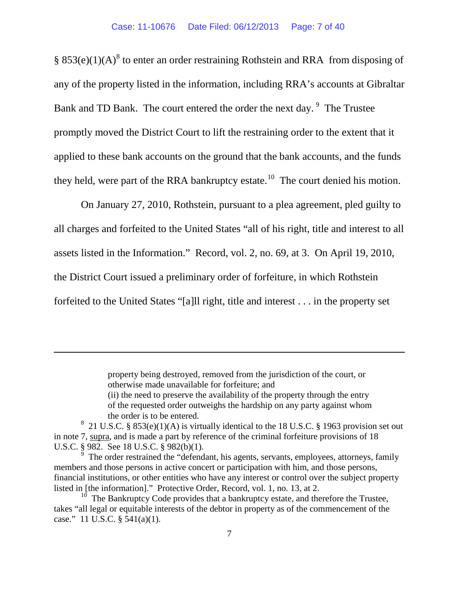§  $853(e)(1)(A)^8$  $853(e)(1)(A)^8$  to enter an order restraining Rothstein and RRA from disposing of any of the property listed in the information, including RRA's accounts at Gibraltar Bank and TD Bank. The court entered the order the next day. <sup>[9](#page-6-1)</sup> The Trustee promptly moved the District Court to lift the restraining order to the extent that it applied to these bank accounts on the ground that the bank accounts, and the funds they held, were part of the RRA bankruptcy estate.<sup>[10](#page-6-2)</sup> The court denied his motion.

On January 27, 2010, Rothstein, pursuant to a plea agreement, pled guilty to all charges and forfeited to the United States "all of his right, title and interest to all assets listed in the Information." Record, vol. 2, no. 69, at 3. On April 19, 2010, the District Court issued a preliminary order of forfeiture, in which Rothstein forfeited to the United States "[a]ll right, title and interest . . . in the property set

> property being destroyed, removed from the jurisdiction of the court, or otherwise made unavailable for forfeiture; and (ii) the need to preserve the availability of the property through the entry of the requested order outweighs the hardship on any party against whom the order is to be entered.

<span id="page-6-0"></span><sup>&</sup>lt;sup>8</sup> 21 U.S.C. § 853(e)(1)(A) is virtually identical to the 18 U.S.C. § 1963 provision set out in note [7,](#page-5-1) supra, and is made a part by reference of the criminal forfeiture provisions of 18 U.S.C. § 982. See 18 U.S.C. § 982(b)(1).

<span id="page-6-1"></span><sup>9</sup> The order restrained the "defendant, his agents, servants, employees, attorneys, family members and those persons in active concert or participation with him, and those persons, financial institutions, or other entities who have any interest or control over the subject property listed in [the information]." Protective Order, Record, vol. 1, no. 13, at 2.

<span id="page-6-2"></span> $10$  The Bankruptcy Code provides that a bankruptcy estate, and therefore the Trustee, takes "all legal or equitable interests of the debtor in property as of the commencement of the case." 11 U.S.C. § 541(a)(1).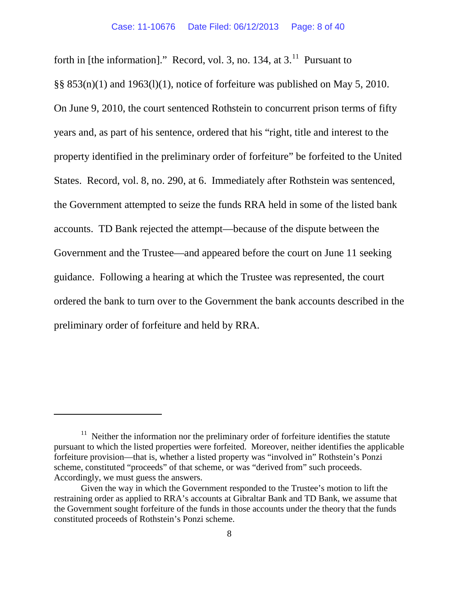forth in [the information]." Record, vol. 3, no. 134, at  $3<sup>11</sup>$  $3<sup>11</sup>$  $3<sup>11</sup>$  Pursuant to  $\S$ § 853(n)(1) and 1963(l)(1), notice of forfeiture was published on May 5, 2010. On June 9, 2010, the court sentenced Rothstein to concurrent prison terms of fifty years and, as part of his sentence, ordered that his "right, title and interest to the property identified in the preliminary order of forfeiture" be forfeited to the United States. Record, vol. 8, no. 290, at 6. Immediately after Rothstein was sentenced, the Government attempted to seize the funds RRA held in some of the listed bank accounts. TD Bank rejected the attempt—because of the dispute between the Government and the Trustee—and appeared before the court on June 11 seeking guidance. Following a hearing at which the Trustee was represented, the court ordered the bank to turn over to the Government the bank accounts described in the preliminary order of forfeiture and held by RRA.

<span id="page-7-0"></span> $11$  Neither the information nor the preliminary order of forfeiture identifies the statute pursuant to which the listed properties were forfeited. Moreover, neither identifies the applicable forfeiture provision—that is, whether a listed property was "involved in" Rothstein's Ponzi scheme, constituted "proceeds" of that scheme, or was "derived from" such proceeds. Accordingly, we must guess the answers.

Given the way in which the Government responded to the Trustee's motion to lift the restraining order as applied to RRA's accounts at Gibraltar Bank and TD Bank, we assume that the Government sought forfeiture of the funds in those accounts under the theory that the funds constituted proceeds of Rothstein's Ponzi scheme.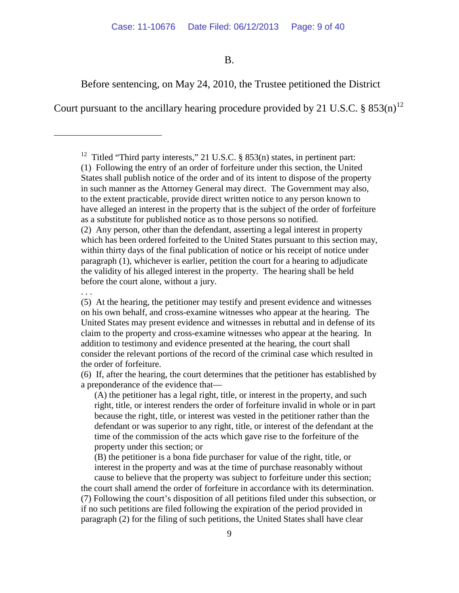B.

Before sentencing, on May 24, 2010, the Trustee petitioned the District

Court pursuant to the ancillary hearing procedure provided by 21 U.S.C.  $\S 853(n)^{12}$  $\S 853(n)^{12}$  $\S 853(n)^{12}$ 

<sup>12</sup> Titled "Third party interests," 21 U.S.C.  $\S$  853(n) states, in pertinent part: (1) Following the entry of an order of forfeiture under this section, the United States shall publish notice of the order and of its intent to dispose of the property in such manner as the Attorney General may direct. The Government may also, to the extent practicable, provide direct written notice to any person known to have alleged an interest in the property that is the subject of the order of forfeiture as a substitute for published notice as to those persons so notified. (2) Any person, other than the defendant, asserting a legal interest in property which has been ordered forfeited to the United States pursuant to this section may, within thirty days of the final publication of notice or his receipt of notice under paragraph (1), whichever is earlier, petition the court for a hearing to adjudicate the validity of his alleged interest in the property. The hearing shall be held

before the court alone, without a jury.

. . .

<span id="page-8-0"></span> $\overline{a}$ 

(5) At the hearing, the petitioner may testify and present evidence and witnesses on his own behalf, and cross-examine witnesses who appear at the hearing. The United States may present evidence and witnesses in rebuttal and in defense of its claim to the property and cross-examine witnesses who appear at the hearing. In addition to testimony and evidence presented at the hearing, the court shall consider the relevant portions of the record of the criminal case which resulted in the order of forfeiture.

(6) If, after the hearing, the court determines that the petitioner has established by a preponderance of the evidence that—

(A) the petitioner has a legal right, title, or interest in the property, and such right, title, or interest renders the order of forfeiture invalid in whole or in part because the right, title, or interest was vested in the petitioner rather than the defendant or was superior to any right, title, or interest of the defendant at the time of the commission of the acts which gave rise to the forfeiture of the property under this section; or

(B) the petitioner is a bona fide purchaser for value of the right, title, or interest in the property and was at the time of purchase reasonably without cause to believe that the property was subject to forfeiture under this section;

the court shall amend the order of forfeiture in accordance with its determination. (7) Following the court's disposition of all petitions filed under this subsection, or if no such petitions are filed following the expiration of the period provided in paragraph (2) for the filing of such petitions, the United States shall have clear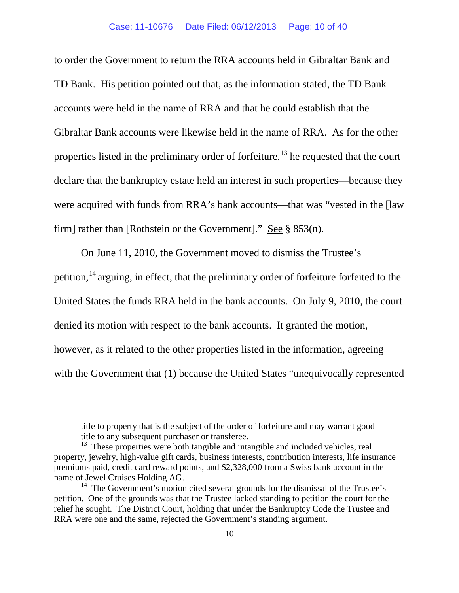to order the Government to return the RRA accounts held in Gibraltar Bank and TD Bank. His petition pointed out that, as the information stated, the TD Bank accounts were held in the name of RRA and that he could establish that the Gibraltar Bank accounts were likewise held in the name of RRA. As for the other properties listed in the preliminary order of forfeiture,<sup>[13](#page-9-0)</sup> he requested that the court declare that the bankruptcy estate held an interest in such properties—because they were acquired with funds from RRA's bank accounts—that was "vested in the [law firm] rather than [Rothstein or the Government]." See § 853(n).

On June 11, 2010, the Government moved to dismiss the Trustee's

petition,<sup>[14](#page-9-1)</sup> arguing, in effect, that the preliminary order of forfeiture forfeited to the

United States the funds RRA held in the bank accounts. On July 9, 2010, the court

denied its motion with respect to the bank accounts. It granted the motion,

 $\overline{a}$ 

however, as it related to the other properties listed in the information, agreeing

with the Government that (1) because the United States "unequivocally represented

title to property that is the subject of the order of forfeiture and may warrant good title to any subsequent purchaser or transferee.

<span id="page-9-0"></span><sup>&</sup>lt;sup>13</sup> These properties were both tangible and intangible and included vehicles, real property, jewelry, high-value gift cards, business interests, contribution interests, life insurance premiums paid, credit card reward points, and \$2,328,000 from a Swiss bank account in the name of Jewel Cruises Holding AG.

<span id="page-9-1"></span> $14$  The Government's motion cited several grounds for the dismissal of the Trustee's petition. One of the grounds was that the Trustee lacked standing to petition the court for the relief he sought. The District Court, holding that under the Bankruptcy Code the Trustee and RRA were one and the same, rejected the Government's standing argument.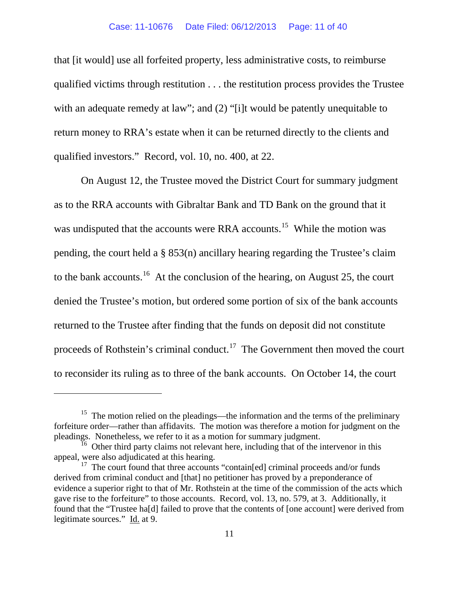that [it would] use all forfeited property, less administrative costs, to reimburse qualified victims through restitution . . . the restitution process provides the Trustee with an adequate remedy at law"; and (2) "[i]t would be patently unequitable to return money to RRA's estate when it can be returned directly to the clients and qualified investors." Record, vol. 10, no. 400, at 22.

On August 12, the Trustee moved the District Court for summary judgment as to the RRA accounts with Gibraltar Bank and TD Bank on the ground that it was undisputed that the accounts were RRA accounts.<sup>15</sup> While the motion was pending, the court held a § 853(n) ancillary hearing regarding the Trustee's claim to the bank accounts.<sup>16</sup> At the conclusion of the hearing, on August 25, the court denied the Trustee's motion, but ordered some portion of six of the bank accounts returned to the Trustee after finding that the funds on deposit did not constitute proceeds of Rothstein's criminal conduct.<sup>[17](#page-10-2)</sup> The Government then moved the court to reconsider its ruling as to three of the bank accounts. On October 14, the court

<span id="page-10-0"></span> $15$  The motion relied on the pleadings—the information and the terms of the preliminary forfeiture order—rather than affidavits. The motion was therefore a motion for judgment on the pleadings. Nonetheless, we refer to it as a motion for summary judgment.

<span id="page-10-1"></span> $16$  Other third party claims not relevant here, including that of the intervenor in this appeal, were also adjudicated at this hearing.

<span id="page-10-2"></span> $17$  The court found that three accounts "contain[ed] criminal proceeds and/or funds derived from criminal conduct and [that] no petitioner has proved by a preponderance of evidence a superior right to that of Mr. Rothstein at the time of the commission of the acts which gave rise to the forfeiture" to those accounts. Record, vol. 13, no. 579, at 3. Additionally, it found that the "Trustee ha[d] failed to prove that the contents of [one account] were derived from legitimate sources." Id. at 9.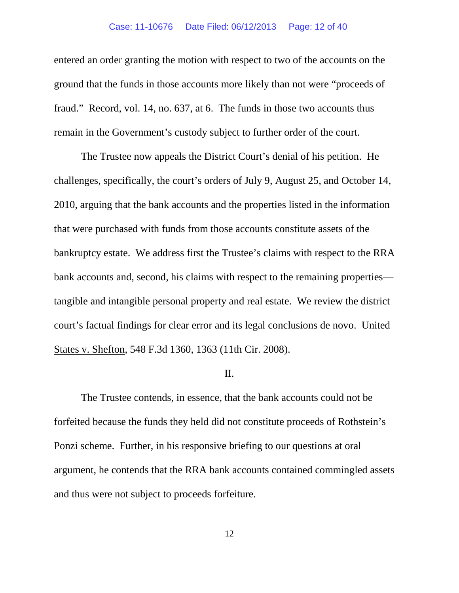## Case: 11-10676 Date Filed: 06/12/2013 Page: 12 of 40

entered an order granting the motion with respect to two of the accounts on the ground that the funds in those accounts more likely than not were "proceeds of fraud." Record, vol. 14, no. 637, at 6. The funds in those two accounts thus remain in the Government's custody subject to further order of the court.

The Trustee now appeals the District Court's denial of his petition. He challenges, specifically, the court's orders of July 9, August 25, and October 14, 2010, arguing that the bank accounts and the properties listed in the information that were purchased with funds from those accounts constitute assets of the bankruptcy estate. We address first the Trustee's claims with respect to the RRA bank accounts and, second, his claims with respect to the remaining properties tangible and intangible personal property and real estate. We review the district court's factual findings for clear error and its legal conclusions de novo. United States v. Shefton, 548 F.3d 1360, 1363 (11th Cir. 2008).

## II.

The Trustee contends, in essence, that the bank accounts could not be forfeited because the funds they held did not constitute proceeds of Rothstein's Ponzi scheme. Further, in his responsive briefing to our questions at oral argument, he contends that the RRA bank accounts contained commingled assets and thus were not subject to proceeds forfeiture.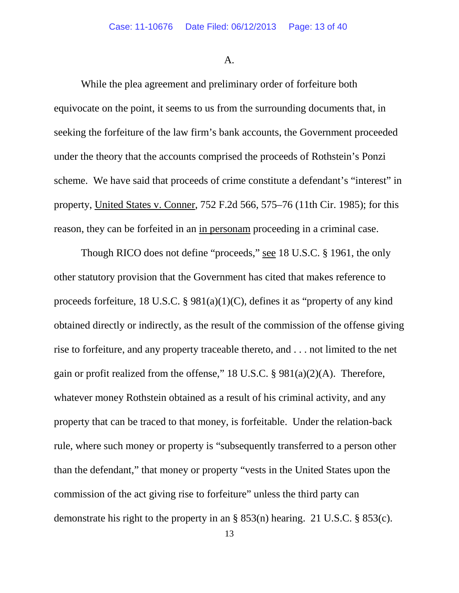### A.

While the plea agreement and preliminary order of forfeiture both equivocate on the point, it seems to us from the surrounding documents that, in seeking the forfeiture of the law firm's bank accounts, the Government proceeded under the theory that the accounts comprised the proceeds of Rothstein's Ponzi scheme. We have said that proceeds of crime constitute a defendant's "interest" in property, United States v. Conner, 752 F.2d 566, 575–76 (11th Cir. 1985); for this reason, they can be forfeited in an in personam proceeding in a criminal case.

Though RICO does not define "proceeds," see 18 U.S.C. § 1961, the only other statutory provision that the Government has cited that makes reference to proceeds forfeiture, 18 U.S.C. §  $981(a)(1)(C)$ , defines it as "property of any kind obtained directly or indirectly, as the result of the commission of the offense giving rise to forfeiture, and any property traceable thereto, and . . . not limited to the net gain or profit realized from the offense," 18 U.S.C. § 981(a)(2)(A). Therefore, whatever money Rothstein obtained as a result of his criminal activity, and any property that can be traced to that money, is forfeitable. Under the relation-back rule, where such money or property is "subsequently transferred to a person other than the defendant," that money or property "vests in the United States upon the commission of the act giving rise to forfeiture" unless the third party can demonstrate his right to the property in an § 853(n) hearing. 21 U.S.C. § 853(c).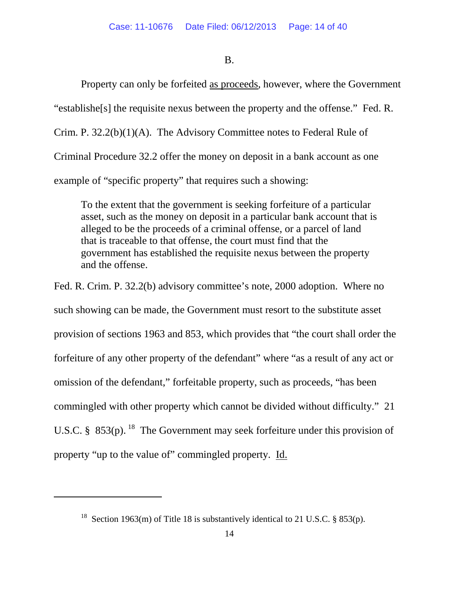## B.

Property can only be forfeited as proceeds, however, where the Government "establishe[s] the requisite nexus between the property and the offense." Fed. R. Crim. P. 32.2(b)(1)(A). The Advisory Committee notes to Federal Rule of Criminal Procedure 32.2 offer the money on deposit in a bank account as one example of "specific property" that requires such a showing:

To the extent that the government is seeking forfeiture of a particular asset, such as the money on deposit in a particular bank account that is alleged to be the proceeds of a criminal offense, or a parcel of land that is traceable to that offense, the court must find that the government has established the requisite nexus between the property and the offense.

Fed. R. Crim. P. 32.2(b) advisory committee's note, 2000 adoption. Where no such showing can be made, the Government must resort to the substitute asset provision of sections 1963 and 853, which provides that "the court shall order the forfeiture of any other property of the defendant" where "as a result of any act or omission of the defendant," forfeitable property, such as proceeds, "has been commingled with other property which cannot be divided without difficulty." 21 U.S.C. § 853(p). <sup>[18](#page-13-0)</sup> The Government may seek forfeiture under this provision of property "up to the value of" commingled property. Id.

<span id="page-13-0"></span><sup>&</sup>lt;sup>18</sup> Section 1963(m) of Title 18 is substantively identical to 21 U.S.C. § 853(p).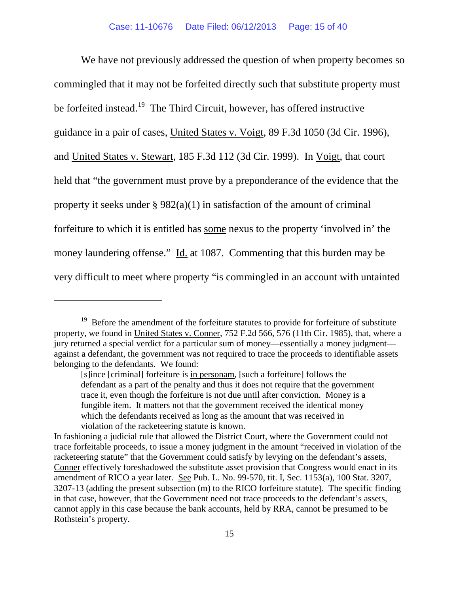We have not previously addressed the question of when property becomes so commingled that it may not be forfeited directly such that substitute property must be forfeited instead.<sup>[19](#page-14-0)</sup> The Third Circuit, however, has offered instructive guidance in a pair of cases, United States v. Voigt, 89 F.3d 1050 (3d Cir. 1996), and United States v. Stewart, 185 F.3d 112 (3d Cir. 1999). In Voigt, that court held that "the government must prove by a preponderance of the evidence that the property it seeks under  $\S 982(a)(1)$  in satisfaction of the amount of criminal forfeiture to which it is entitled has some nexus to the property 'involved in' the money laundering offense." Id. at 1087. Commenting that this burden may be very difficult to meet where property "is commingled in an account with untainted

<span id="page-14-0"></span><sup>&</sup>lt;sup>19</sup> Before the amendment of the forfeiture statutes to provide for forfeiture of substitute property, we found in United States v. Conner, 752 F.2d 566, 576 (11th Cir. 1985), that, where a jury returned a special verdict for a particular sum of money—essentially a money judgment against a defendant, the government was not required to trace the proceeds to identifiable assets belonging to the defendants. We found:

<sup>[</sup>s]ince [criminal] forfeiture is in personam, [such a forfeiture] follows the defendant as a part of the penalty and thus it does not require that the government trace it, even though the forfeiture is not due until after conviction. Money is a fungible item. It matters not that the government received the identical money which the defendants received as long as the amount that was received in violation of the racketeering statute is known.

In fashioning a judicial rule that allowed the District Court, where the Government could not trace forfeitable proceeds, to issue a money judgment in the amount "received in violation of the racketeering statute" that the Government could satisfy by levying on the defendant's assets, Conner effectively foreshadowed the substitute asset provision that Congress would enact in its amendment of RICO a year later. See Pub. L. No. 99-570, tit. I, Sec. 1153(a), 100 Stat. 3207, 3207-13 (adding the present subsection (m) to the RICO forfeiture statute). The specific finding in that case, however, that the Government need not trace proceeds to the defendant's assets, cannot apply in this case because the bank accounts, held by RRA, cannot be presumed to be Rothstein's property.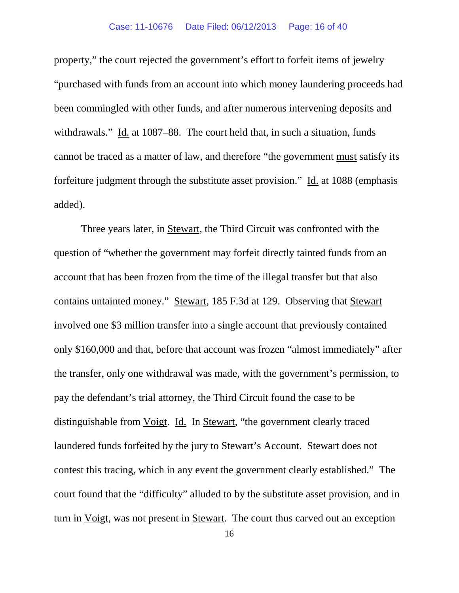property," the court rejected the government's effort to forfeit items of jewelry "purchased with funds from an account into which money laundering proceeds had been commingled with other funds, and after numerous intervening deposits and withdrawals." Id. at 1087–88. The court held that, in such a situation, funds cannot be traced as a matter of law, and therefore "the government must satisfy its forfeiture judgment through the substitute asset provision." Id. at 1088 (emphasis added).

Three years later, in Stewart, the Third Circuit was confronted with the question of "whether the government may forfeit directly tainted funds from an account that has been frozen from the time of the illegal transfer but that also contains untainted money." Stewart, 185 F.3d at 129. Observing that Stewart involved one \$3 million transfer into a single account that previously contained only \$160,000 and that, before that account was frozen "almost immediately" after the transfer, only one withdrawal was made, with the government's permission, to pay the defendant's trial attorney, the Third Circuit found the case to be distinguishable from Voigt. Id. In Stewart, "the government clearly traced laundered funds forfeited by the jury to Stewart's Account. Stewart does not contest this tracing, which in any event the government clearly established." The court found that the "difficulty" alluded to by the substitute asset provision, and in turn in Voigt, was not present in Stewart. The court thus carved out an exception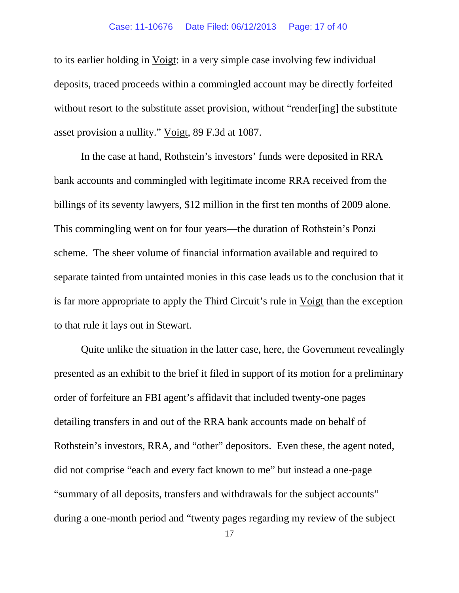to its earlier holding in Voigt: in a very simple case involving few individual deposits, traced proceeds within a commingled account may be directly forfeited without resort to the substitute asset provision, without "render[ing] the substitute asset provision a nullity." Voigt, 89 F.3d at 1087.

In the case at hand, Rothstein's investors' funds were deposited in RRA bank accounts and commingled with legitimate income RRA received from the billings of its seventy lawyers, \$12 million in the first ten months of 2009 alone. This commingling went on for four years—the duration of Rothstein's Ponzi scheme. The sheer volume of financial information available and required to separate tainted from untainted monies in this case leads us to the conclusion that it is far more appropriate to apply the Third Circuit's rule in Voigt than the exception to that rule it lays out in Stewart.

Quite unlike the situation in the latter case, here, the Government revealingly presented as an exhibit to the brief it filed in support of its motion for a preliminary order of forfeiture an FBI agent's affidavit that included twenty-one pages detailing transfers in and out of the RRA bank accounts made on behalf of Rothstein's investors, RRA, and "other" depositors. Even these, the agent noted, did not comprise "each and every fact known to me" but instead a one-page "summary of all deposits, transfers and withdrawals for the subject accounts" during a one-month period and "twenty pages regarding my review of the subject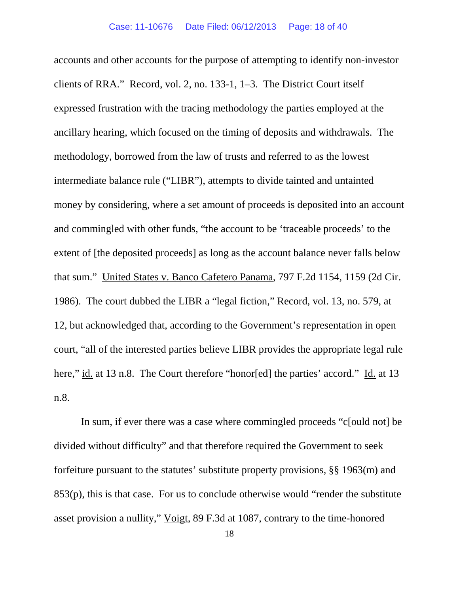accounts and other accounts for the purpose of attempting to identify non-investor clients of RRA." Record, vol. 2, no. 133-1, 1–3. The District Court itself expressed frustration with the tracing methodology the parties employed at the ancillary hearing, which focused on the timing of deposits and withdrawals. The methodology, borrowed from the law of trusts and referred to as the lowest intermediate balance rule ("LIBR"), attempts to divide tainted and untainted money by considering, where a set amount of proceeds is deposited into an account and commingled with other funds, "the account to be 'traceable proceeds' to the extent of [the deposited proceeds] as long as the account balance never falls below that sum." United States v. Banco Cafetero Panama, 797 F.2d 1154, 1159 (2d Cir. 1986). The court dubbed the LIBR a "legal fiction," Record, vol. 13, no. 579, at 12, but acknowledged that, according to the Government's representation in open court, "all of the interested parties believe LIBR provides the appropriate legal rule here," id. at 13 n.8. The Court therefore "honor[ed] the parties' accord." Id. at 13 n.8.

In sum, if ever there was a case where commingled proceeds "c[ould not] be divided without difficulty" and that therefore required the Government to seek forfeiture pursuant to the statutes' substitute property provisions, §§ 1963(m) and 853(p), this is that case. For us to conclude otherwise would "render the substitute asset provision a nullity," Voigt, 89 F.3d at 1087, contrary to the time-honored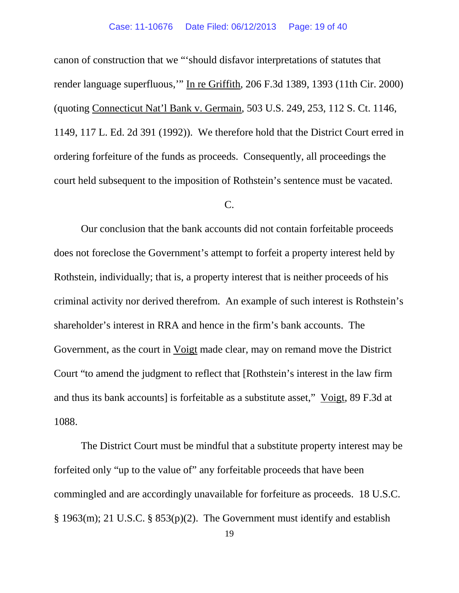canon of construction that we "'should disfavor interpretations of statutes that render language superfluous,'" In re Griffith, 206 F.3d 1389, 1393 (11th Cir. 2000) (quoting Connecticut Nat'l Bank v. Germain, 503 U.S. 249, 253, 112 S. Ct. 1146, 1149, 117 L. Ed. 2d 391 (1992)). We therefore hold that the District Court erred in ordering forfeiture of the funds as proceeds. Consequently, all proceedings the court held subsequent to the imposition of Rothstein's sentence must be vacated.

## C.

Our conclusion that the bank accounts did not contain forfeitable proceeds does not foreclose the Government's attempt to forfeit a property interest held by Rothstein, individually; that is, a property interest that is neither proceeds of his criminal activity nor derived therefrom. An example of such interest is Rothstein's shareholder's interest in RRA and hence in the firm's bank accounts. The Government, as the court in Voigt made clear, may on remand move the District Court "to amend the judgment to reflect that [Rothstein's interest in the law firm and thus its bank accounts] is forfeitable as a substitute asset," Voigt, 89 F.3d at 1088.

The District Court must be mindful that a substitute property interest may be forfeited only "up to the value of" any forfeitable proceeds that have been commingled and are accordingly unavailable for forfeiture as proceeds. 18 U.S.C. § 1963(m); 21 U.S.C. § 853(p)(2). The Government must identify and establish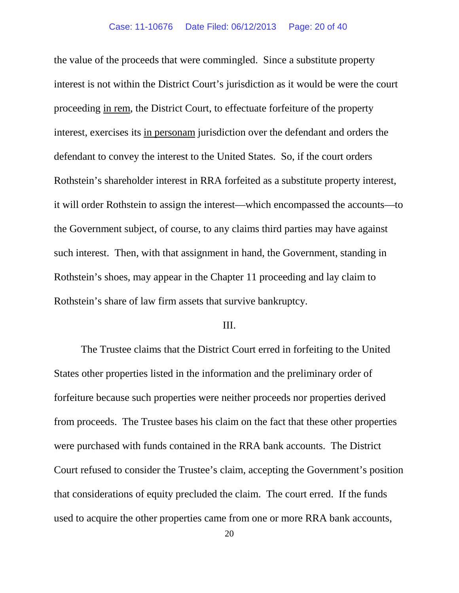the value of the proceeds that were commingled. Since a substitute property interest is not within the District Court's jurisdiction as it would be were the court proceeding in rem, the District Court, to effectuate forfeiture of the property interest, exercises its in personam jurisdiction over the defendant and orders the defendant to convey the interest to the United States. So, if the court orders Rothstein's shareholder interest in RRA forfeited as a substitute property interest, it will order Rothstein to assign the interest—which encompassed the accounts—to the Government subject, of course, to any claims third parties may have against such interest. Then, with that assignment in hand, the Government, standing in Rothstein's shoes, may appear in the Chapter 11 proceeding and lay claim to Rothstein's share of law firm assets that survive bankruptcy.

# III.

The Trustee claims that the District Court erred in forfeiting to the United States other properties listed in the information and the preliminary order of forfeiture because such properties were neither proceeds nor properties derived from proceeds. The Trustee bases his claim on the fact that these other properties were purchased with funds contained in the RRA bank accounts. The District Court refused to consider the Trustee's claim, accepting the Government's position that considerations of equity precluded the claim. The court erred. If the funds used to acquire the other properties came from one or more RRA bank accounts,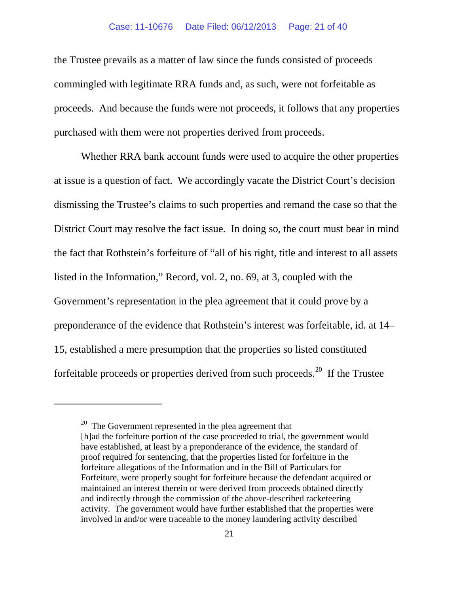the Trustee prevails as a matter of law since the funds consisted of proceeds commingled with legitimate RRA funds and, as such, were not forfeitable as proceeds. And because the funds were not proceeds, it follows that any properties purchased with them were not properties derived from proceeds.

Whether RRA bank account funds were used to acquire the other properties at issue is a question of fact. We accordingly vacate the District Court's decision dismissing the Trustee's claims to such properties and remand the case so that the District Court may resolve the fact issue. In doing so, the court must bear in mind the fact that Rothstein's forfeiture of "all of his right, title and interest to all assets listed in the Information," Record, vol. 2, no. 69, at 3, coupled with the Government's representation in the plea agreement that it could prove by a preponderance of the evidence that Rothstein's interest was forfeitable, id. at 14– 15, established a mere presumption that the properties so listed constituted forfeitable proceeds or properties derived from such proceeds.<sup>[20](#page-20-0)</sup> If the Trustee

<span id="page-20-0"></span> $20$  The Government represented in the plea agreement that [h]ad the forfeiture portion of the case proceeded to trial, the government would have established, at least by a preponderance of the evidence, the standard of proof required for sentencing, that the properties listed for forfeiture in the forfeiture allegations of the Information and in the Bill of Particulars for Forfeiture, were properly sought for forfeiture because the defendant acquired or maintained an interest therein or were derived from proceeds obtained directly and indirectly through the commission of the above-described racketeering activity. The government would have further established that the properties were involved in and/or were traceable to the money laundering activity described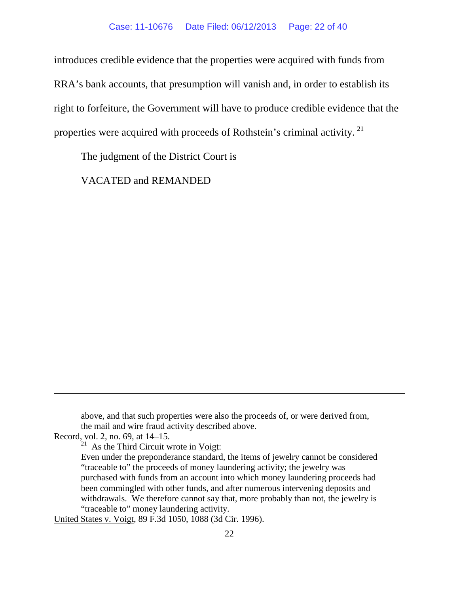introduces credible evidence that the properties were acquired with funds from RRA's bank accounts, that presumption will vanish and, in order to establish its right to forfeiture, the Government will have to produce credible evidence that the properties were acquired with proceeds of Rothstein's criminal activity.<sup>[21](#page-21-0)</sup>

The judgment of the District Court is

VACATED and REMANDED

above, and that such properties were also the proceeds of, or were derived from, the mail and wire fraud activity described above.

<span id="page-21-0"></span>Record, vol. 2, no. 69, at 14–15.

 $\overline{a}$ 

 $21$  As the Third Circuit wrote in Voigt:

Even under the preponderance standard, the items of jewelry cannot be considered "traceable to" the proceeds of money laundering activity; the jewelry was purchased with funds from an account into which money laundering proceeds had been commingled with other funds, and after numerous intervening deposits and withdrawals. We therefore cannot say that, more probably than not, the jewelry is "traceable to" money laundering activity.

United States v. Voigt, 89 F.3d 1050, 1088 (3d Cir. 1996).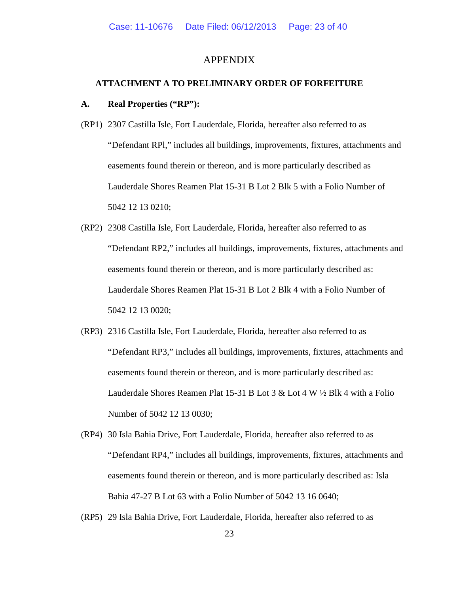### APPENDIX

### **ATTACHMENT A TO PRELIMINARY ORDER OF FORFEITURE**

#### **A. Real Properties ("RP"):**

- (RP1) 2307 Castilla Isle, Fort Lauderdale, Florida, hereafter also referred to as "Defendant RPl," includes all buildings, improvements, fixtures, attachments and easements found therein or thereon, and is more particularly described as Lauderdale Shores Reamen Plat 15-31 B Lot 2 Blk 5 with a Folio Number of 5042 12 13 0210;
- (RP2) 2308 Castilla Isle, Fort Lauderdale, Florida, hereafter also referred to as "Defendant RP2," includes all buildings, improvements, fixtures, attachments and easements found therein or thereon, and is more particularly described as: Lauderdale Shores Reamen Plat 15-31 B Lot 2 Blk 4 with a Folio Number of 5042 12 13 0020;
- (RP3) 2316 Castilla Isle, Fort Lauderdale, Florida, hereafter also referred to as "Defendant RP3," includes all buildings, improvements, fixtures, attachments and easements found therein or thereon, and is more particularly described as: Lauderdale Shores Reamen Plat 15-31 B Lot 3 & Lot 4 W ½ Blk 4 with a Folio Number of 5042 12 13 0030;
- (RP4) 30 Isla Bahia Drive, Fort Lauderdale, Florida, hereafter also referred to as "Defendant RP4," includes all buildings, improvements, fixtures, attachments and easements found therein or thereon, and is more particularly described as: Isla Bahia 47-27 B Lot 63 with a Folio Number of 5042 13 16 0640;
- (RP5) 29 Isla Bahia Drive, Fort Lauderdale, Florida, hereafter also referred to as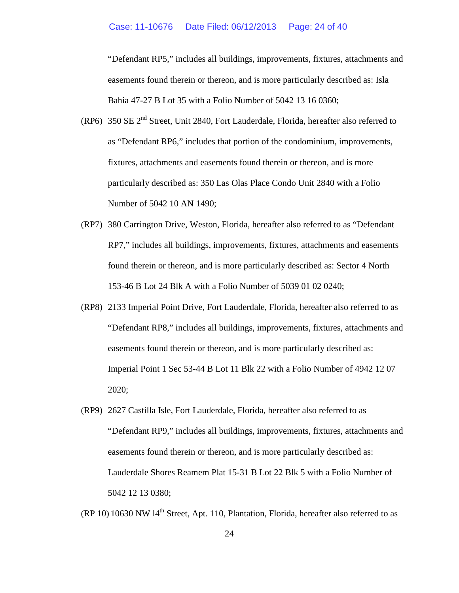#### Case: 11-10676 Date Filed: 06/12/2013 Page: 24 of 40

"Defendant RP5," includes all buildings, improvements, fixtures, attachments and easements found therein or thereon, and is more particularly described as: Isla Bahia 47-27 B Lot 35 with a Folio Number of 5042 13 16 0360;

- (RP6) 350 SE  $2<sup>nd</sup>$  Street, Unit 2840, Fort Lauderdale, Florida, hereafter also referred to as "Defendant RP6," includes that portion of the condominium, improvements, fixtures, attachments and easements found therein or thereon, and is more particularly described as: 350 Las Olas Place Condo Unit 2840 with a Folio Number of 5042 10 AN 1490;
- (RP7) 380 Carrington Drive, Weston, Florida, hereafter also referred to as "Defendant RP7," includes all buildings, improvements, fixtures, attachments and easements found therein or thereon, and is more particularly described as: Sector 4 North 153-46 B Lot 24 Blk A with a Folio Number of 5039 01 02 0240;
- (RP8) 2133 Imperial Point Drive, Fort Lauderdale, Florida, hereafter also referred to as "Defendant RP8," includes all buildings, improvements, fixtures, attachments and easements found therein or thereon, and is more particularly described as: Imperial Point 1 Sec 53-44 B Lot 11 Blk 22 with a Folio Number of 4942 12 07 2020;
- (RP9) 2627 Castilla Isle, Fort Lauderdale, Florida, hereafter also referred to as "Defendant RP9," includes all buildings, improvements, fixtures, attachments and easements found therein or thereon, and is more particularly described as: Lauderdale Shores Reamem Plat 15-31 B Lot 22 Blk 5 with a Folio Number of 5042 12 13 0380;

 $(RP 10) 10630 NW 14<sup>th</sup> Street, Apt. 110, Plantation, Florida, hereafter also referred to as$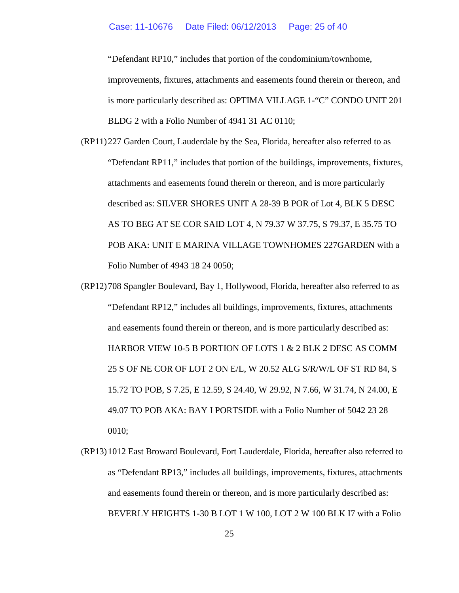"Defendant RP10," includes that portion of the condominium/townhome, improvements, fixtures, attachments and easements found therein or thereon, and is more particularly described as: OPTIMA VILLAGE 1-"C" CONDO UNIT 201 BLDG 2 with a Folio Number of 4941 31 AC 0110;

- (RP11)227 Garden Court, Lauderdale by the Sea, Florida, hereafter also referred to as "Defendant RP11," includes that portion of the buildings, improvements, fixtures, attachments and easements found therein or thereon, and is more particularly described as: SILVER SHORES UNIT A 28-39 B POR of Lot 4, BLK 5 DESC AS TO BEG AT SE COR SAID LOT 4, N 79.37 W 37.75, S 79.37, E 35.75 TO POB AKA: UNIT E MARINA VILLAGE TOWNHOMES 227GARDEN with a Folio Number of 4943 18 24 0050;
- (RP12)708 Spangler Boulevard, Bay 1, Hollywood, Florida, hereafter also referred to as "Defendant RP12," includes all buildings, improvements, fixtures, attachments and easements found therein or thereon, and is more particularly described as: HARBOR VIEW 10-5 B PORTION OF LOTS 1 & 2 BLK 2 DESC AS COMM 25 S OF NE COR OF LOT 2 ON E/L, W 20.52 ALG S/R/W/L OF ST RD 84, S 15.72 TO POB, S 7.25, E 12.59, S 24.40, W 29.92, N 7.66, W 31.74, N 24.00, E 49.07 TO POB AKA: BAY I PORTSIDE with a Folio Number of 5042 23 28 0010;
- (RP13)1012 East Broward Boulevard, Fort Lauderdale, Florida, hereafter also referred to as "Defendant RP13," includes all buildings, improvements, fixtures, attachments and easements found therein or thereon, and is more particularly described as: BEVERLY HEIGHTS 1-30 B LOT 1 W 100, LOT 2 W 100 BLK I7 with a Folio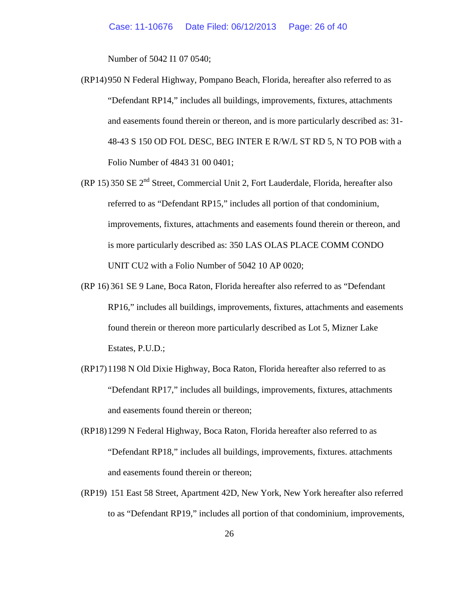Number of 5042 I1 07 0540;

- (RP14)950 N Federal Highway, Pompano Beach, Florida, hereafter also referred to as "Defendant RP14," includes all buildings, improvements, fixtures, attachments and easements found therein or thereon, and is more particularly described as: 31- 48-43 S 150 OD FOL DESC, BEG INTER E R/W/L ST RD 5, N TO POB with a Folio Number of 4843 31 00 0401;
- (RP 15) 350 SE 2nd Street, Commercial Unit 2, Fort Lauderdale, Florida, hereafter also referred to as "Defendant RP15," includes all portion of that condominium, improvements, fixtures, attachments and easements found therein or thereon, and is more particularly described as: 350 LAS OLAS PLACE COMM CONDO UNIT CU2 with a Folio Number of 5042 10 AP 0020;
- (RP 16) 361 SE 9 Lane, Boca Raton, Florida hereafter also referred to as "Defendant RP16," includes all buildings, improvements, fixtures, attachments and easements found therein or thereon more particularly described as Lot 5, Mizner Lake Estates, P.U.D.;
- (RP17)1198 N Old Dixie Highway, Boca Raton, Florida hereafter also referred to as "Defendant RP17," includes all buildings, improvements, fixtures, attachments and easements found therein or thereon;
- (RP18)1299 N Federal Highway, Boca Raton, Florida hereafter also referred to as "Defendant RP18," includes all buildings, improvements, fixtures. attachments and easements found therein or thereon;
- (RP19) 151 East 58 Street, Apartment 42D, New York, New York hereafter also referred to as "Defendant RP19," includes all portion of that condominium, improvements,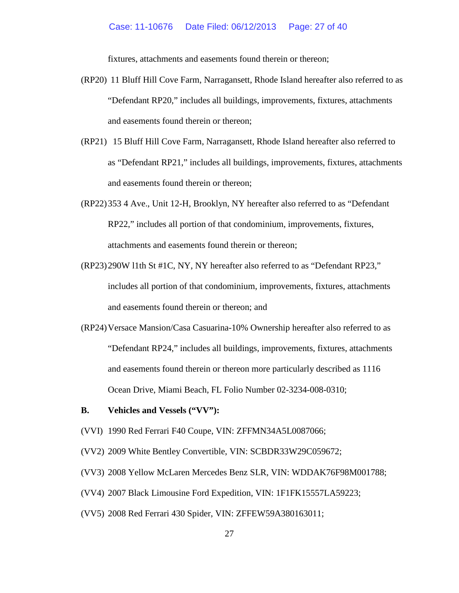fixtures, attachments and easements found therein or thereon;

- (RP20) 11 Bluff Hill Cove Farm, Narragansett, Rhode Island hereafter also referred to as "Defendant RP20," includes all buildings, improvements, fixtures, attachments and easements found therein or thereon;
- (RP21) 15 Bluff Hill Cove Farm, Narragansett, Rhode Island hereafter also referred to as "Defendant RP21," includes all buildings, improvements, fixtures, attachments and easements found therein or thereon;
- (RP22)353 4 Ave., Unit 12-H, Brooklyn, NY hereafter also referred to as "Defendant RP22," includes all portion of that condominium, improvements, fixtures, attachments and easements found therein or thereon;
- (RP23)290W l1th St #1C, NY, NY hereafter also referred to as "Defendant RP23," includes all portion of that condominium, improvements, fixtures, attachments and easements found therein or thereon; and
- (RP24)Versace Mansion/Casa Casuarina-10% Ownership hereafter also referred to as "Defendant RP24," includes all buildings, improvements, fixtures, attachments and easements found therein or thereon more particularly described as 1116 Ocean Drive, Miami Beach, FL Folio Number 02-3234-008-0310;
- **B. Vehicles and Vessels ("VV"):**
- (VVI) 1990 Red Ferrari F40 Coupe, VIN: ZFFMN34A5L0087066;
- (VV2) 2009 White Bentley Convertible, VIN: SCBDR33W29C059672;
- (VV3) 2008 Yellow McLaren Mercedes Benz SLR, VIN: WDDAK76F98M001788;
- (VV4) 2007 Black Limousine Ford Expedition, VIN: 1F1FK15557LA59223;
- (VV5) 2008 Red Ferrari 430 Spider, VIN: ZFFEW59A380163011;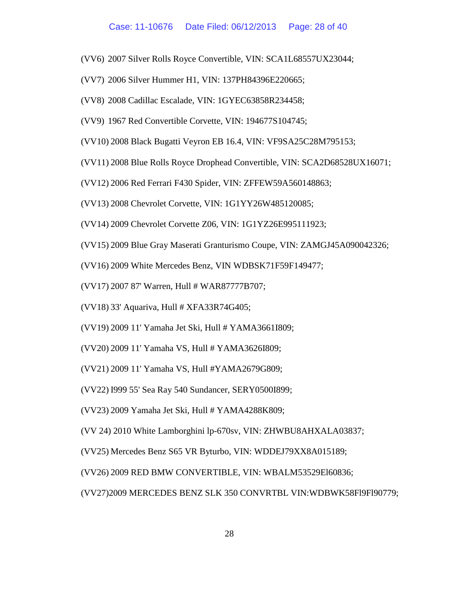- (VV6) 2007 Silver Rolls Royce Convertible, VIN: SCA1L68557UX23044;
- (VV7) 2006 Silver Hummer H1, VIN: 137PH84396E220665;
- (VV8) 2008 Cadillac Escalade, VIN: 1GYEC63858R234458;
- (VV9) 1967 Red Convertible Corvette, VIN: 194677S104745;
- (VV10) 2008 Black Bugatti Veyron EB 16.4, VIN: VF9SA25C28M795153;
- (VV11) 2008 Blue Rolls Royce Drophead Convertible, VIN: SCA2D68528UX16071;
- (VV12) 2006 Red Ferrari F430 Spider, VIN: ZFFEW59A560148863;
- (VV13) 2008 Chevrolet Corvette, VIN: 1G1YY26W485120085;
- (VV14) 2009 Chevrolet Corvette Z06, VIN: 1G1YZ26E995111923;
- (VV15) 2009 Blue Gray Maserati Granturismo Coupe, VIN: ZAMGJ45A090042326;
- (VV16) 2009 White Mercedes Benz, VIN WDBSK71F59F149477;
- (VV17) 2007 87' Warren, Hull # WAR87777B707;
- (VV18) 33' Aquariva, Hull # XFA33R74G405;
- (VV19) 2009 11' Yamaha Jet Ski, Hull # YAMA3661I809;
- (VV20) 2009 11' Yamaha VS, Hull # YAMA3626I809;
- (VV21) 2009 11' Yamaha VS, Hull #YAMA2679G809;
- (VV22) I999 55' Sea Ray 540 Sundancer, SERY0500I899;
- (VV23) 2009 Yamaha Jet Ski, Hull # YAMA4288K809;
- (VV 24) 2010 White Lamborghini lp-670sv, VIN: ZHWBU8AHXALA03837;
- (VV25) Mercedes Benz S65 VR Byturbo, VIN: WDDEJ79XX8A015189;
- (VV26) 2009 RED BMW CONVERTIBLE, VIN: WBALM53529El60836;

(VV27)2009 MERCEDES BENZ SLK 350 CONVRTBL VIN:WDBWK58Fl9Fl90779;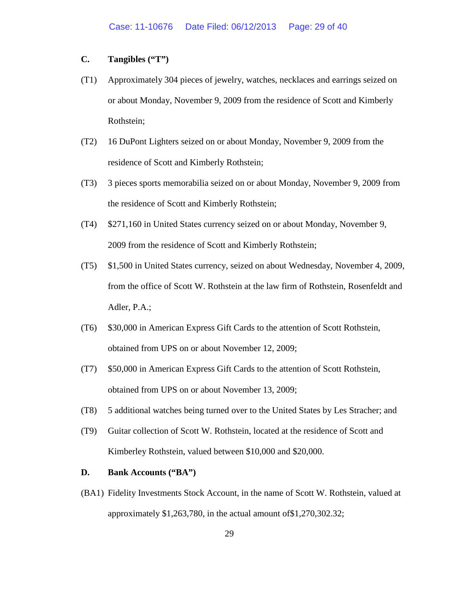## **C. Tangibles ("T")**

- (T1) Approximately 304 pieces of jewelry, watches, necklaces and earrings seized on or about Monday, November 9, 2009 from the residence of Scott and Kimberly Rothstein;
- (T2) 16 DuPont Lighters seized on or about Monday, November 9, 2009 from the residence of Scott and Kimberly Rothstein;
- (T3) 3 pieces sports memorabilia seized on or about Monday, November 9, 2009 from the residence of Scott and Kimberly Rothstein;
- (T4) \$271,160 in United States currency seized on or about Monday, November 9, 2009 from the residence of Scott and Kimberly Rothstein;
- (T5) \$1,500 in United States currency, seized on about Wednesday, November 4, 2009, from the office of Scott W. Rothstein at the law firm of Rothstein, Rosenfeldt and Adler, P.A.;
- (T6) \$30,000 in American Express Gift Cards to the attention of Scott Rothstein, obtained from UPS on or about November 12, 2009;
- (T7) \$50,000 in American Express Gift Cards to the attention of Scott Rothstein, obtained from UPS on or about November 13, 2009;
- (T8) 5 additional watches being turned over to the United States by Les Stracher; and
- (T9) Guitar collection of Scott W. Rothstein, located at the residence of Scott and Kimberley Rothstein, valued between \$10,000 and \$20,000.

### **D. Bank Accounts ("BA")**

(BA1) Fidelity Investments Stock Account, in the name of Scott W. Rothstein, valued at approximately \$1,263,780, in the actual amount of\$1,270,302.32;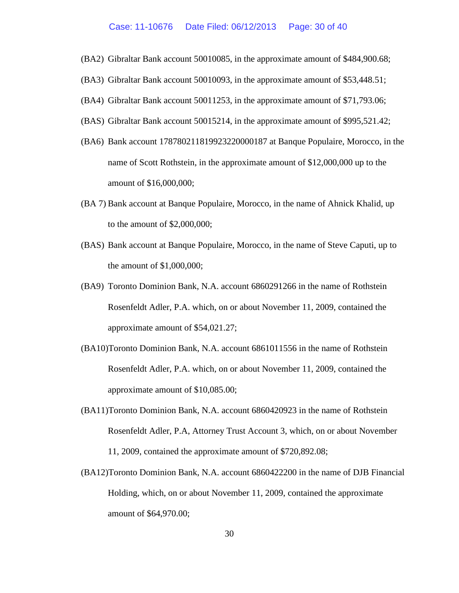- (BA2) Gibraltar Bank account 50010085, in the approximate amount of \$484,900.68;
- (BA3) Gibraltar Bank account 50010093, in the approximate amount of \$53,448.51;
- (BA4) Gibraltar Bank account 50011253, in the approximate amount of \$71,793.06;
- (BAS) Gibraltar Bank account 50015214, in the approximate amount of \$995,521.42;
- (BA6) Bank account 178780211819923220000187 at Banque Populaire, Morocco, in the name of Scott Rothstein, in the approximate amount of \$12,000,000 up to the amount of \$16,000,000;
- (BA 7) Bank account at Banque Populaire, Morocco, in the name of Ahnick Khalid, up to the amount of \$2,000,000;
- (BAS) Bank account at Banque Populaire, Morocco, in the name of Steve Caputi, up to the amount of \$1,000,000;
- (BA9) Toronto Dominion Bank, N.A. account 6860291266 in the name of Rothstein Rosenfeldt Adler, P.A. which, on or about November 11, 2009, contained the approximate amount of \$54,021.27;
- (BA10)Toronto Dominion Bank, N.A. account 6861011556 in the name of Rothstein Rosenfeldt Adler, P.A. which, on or about November 11, 2009, contained the approximate amount of \$10,085.00;
- (BA11)Toronto Dominion Bank, N.A. account 6860420923 in the name of Rothstein Rosenfeldt Adler, P.A, Attorney Trust Account 3, which, on or about November 11, 2009, contained the approximate amount of \$720,892.08;
- (BA12)Toronto Dominion Bank, N.A. account 6860422200 in the name of DJB Financial Holding, which, on or about November 11, 2009, contained the approximate amount of \$64,970.00;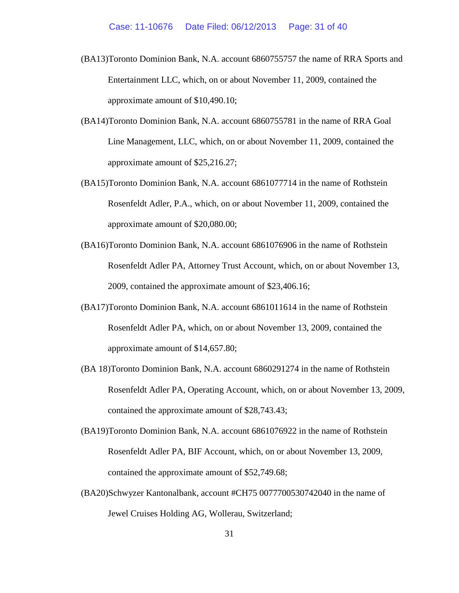- (BA13)Toronto Dominion Bank, N.A. account 6860755757 the name of RRA Sports and Entertainment LLC, which, on or about November 11, 2009, contained the approximate amount of \$10,490.10;
- (BA14)Toronto Dominion Bank, N.A. account 6860755781 in the name of RRA Goal Line Management, LLC, which, on or about November 11, 2009, contained the approximate amount of \$25,216.27;
- (BA15)Toronto Dominion Bank, N.A. account 6861077714 in the name of Rothstein Rosenfeldt Adler, P.A., which, on or about November 11, 2009, contained the approximate amount of \$20,080.00;
- (BA16)Toronto Dominion Bank, N.A. account 6861076906 in the name of Rothstein Rosenfeldt Adler PA, Attorney Trust Account, which, on or about November 13, 2009, contained the approximate amount of \$23,406.16;
- (BA17)Toronto Dominion Bank, N.A. account 6861011614 in the name of Rothstein Rosenfeldt Adler PA, which, on or about November 13, 2009, contained the approximate amount of \$14,657.80;
- (BA 18)Toronto Dominion Bank, N.A. account 6860291274 in the name of Rothstein Rosenfeldt Adler PA, Operating Account, which, on or about November 13, 2009, contained the approximate amount of \$28,743.43;
- (BA19)Toronto Dominion Bank, N.A. account 6861076922 in the name of Rothstein Rosenfeldt Adler PA, BIF Account, which, on or about November 13, 2009, contained the approximate amount of \$52,749.68;
- (BA20)Schwyzer Kantonalbank, account #CH75 0077700530742040 in the name of Jewel Cruises Holding AG, Wollerau, Switzerland;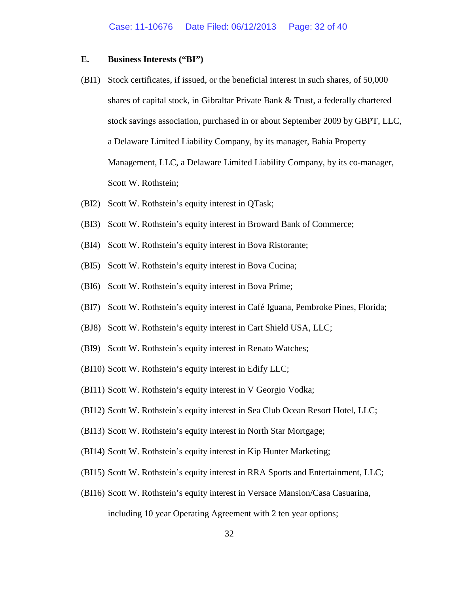## **E. Business Interests ("BI")**

- (BI1) Stock certificates, if issued, or the beneficial interest in such shares, of 50,000 shares of capital stock, in Gibraltar Private Bank & Trust, a federally chartered stock savings association, purchased in or about September 2009 by GBPT, LLC, a Delaware Limited Liability Company, by its manager, Bahia Property Management, LLC, a Delaware Limited Liability Company, by its co-manager, Scott W. Rothstein;
- (BI2) Scott W. Rothstein's equity interest in QTask;
- (BI3) Scott W. Rothstein's equity interest in Broward Bank of Commerce;
- (BI4) Scott W. Rothstein's equity interest in Bova Ristorante;
- (BI5) Scott W. Rothstein's equity interest in Bova Cucina;
- (BI6) Scott W. Rothstein's equity interest in Bova Prime;
- (BI7) Scott W. Rothstein's equity interest in Café Iguana, Pembroke Pines, Florida;
- (BJ8) Scott W. Rothstein's equity interest in Cart Shield USA, LLC;
- (BI9) Scott W. Rothstein's equity interest in Renato Watches;
- (BI10) Scott W. Rothstein's equity interest in Edify LLC;
- (BI11) Scott W. Rothstein's equity interest in V Georgio Vodka;
- (BI12) Scott W. Rothstein's equity interest in Sea Club Ocean Resort Hotel, LLC;
- (BI13) Scott W. Rothstein's equity interest in North Star Mortgage;
- (BI14) Scott W. Rothstein's equity interest in Kip Hunter Marketing;
- (BI15) Scott W. Rothstein's equity interest in RRA Sports and Entertainment, LLC;
- (BI16) Scott W. Rothstein's equity interest in Versace Mansion/Casa Casuarina, including 10 year Operating Agreement with 2 ten year options;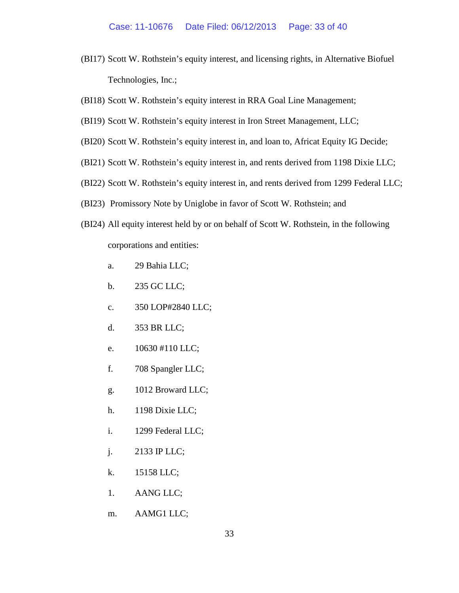- (BI17) Scott W. Rothstein's equity interest, and licensing rights, in Alternative Biofuel Technologies, Inc.;
- (BI18) Scott W. Rothstein's equity interest in RRA Goal Line Management;
- (BI19) Scott W. Rothstein's equity interest in Iron Street Management, LLC;
- (BI20) Scott W. Rothstein's equity interest in, and loan to, Africat Equity IG Decide;
- (BI21) Scott W. Rothstein's equity interest in, and rents derived from 1198 Dixie LLC;
- (BI22) Scott W. Rothstein's equity interest in, and rents derived from 1299 Federal LLC;
- (BI23) Promissory Note by Uniglobe in favor of Scott W. Rothstein; and
- (BI24) All equity interest held by or on behalf of Scott W. Rothstein, in the following corporations and entities:
	- a. 29 Bahia LLC;
	- b. 235 GC LLC;
	- c. 350 LOP#2840 LLC;
	- d. 353 BR LLC;
	- e. 10630 #110 LLC;
	- f. 708 Spangler LLC;
	- g. 1012 Broward LLC;
	- h. 1198 Dixie LLC;
	- i. 1299 Federal LLC;
	- j. 2133 IP LLC;
	- k. 15158 LLC;
	- 1. AANG LLC;
	- m. AAMG1 LLC;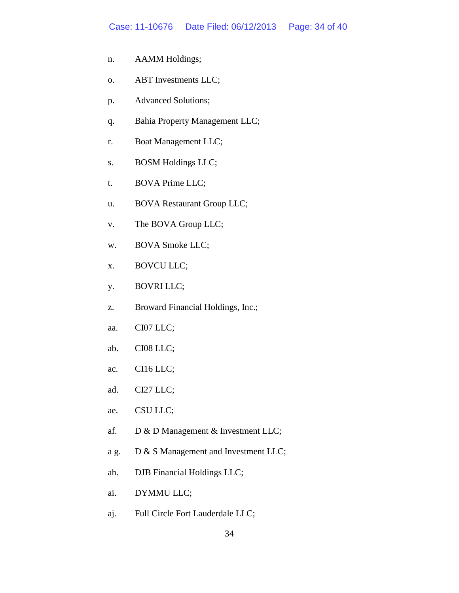#### Case: 11-10676 Date Filed: 06/12/2013 Page: 34 of 40

- n. AAMM Holdings;
- o. ABT Investments LLC;
- p. Advanced Solutions;
- q. Bahia Property Management LLC;
- r. Boat Management LLC;
- s. BOSM Holdings LLC;
- t. BOVA Prime LLC;
- u. BOVA Restaurant Group LLC;
- v. The BOVA Group LLC;
- w. BOVA Smoke LLC;
- x. BOVCU LLC;
- y. BOVRI LLC;
- z. Broward Financial Holdings, Inc.;
- aa. CI07 LLC;
- ab. CI08 LLC;
- ac. CI16 LLC;
- ad. CI27 LLC;
- ae. CSU LLC;
- af. D & D Management & Investment LLC;
- a g. D & S Management and Investment LLC;
- ah. DJB Financial Holdings LLC;
- ai. DYMMU LLC;
- aj. Full Circle Fort Lauderdale LLC;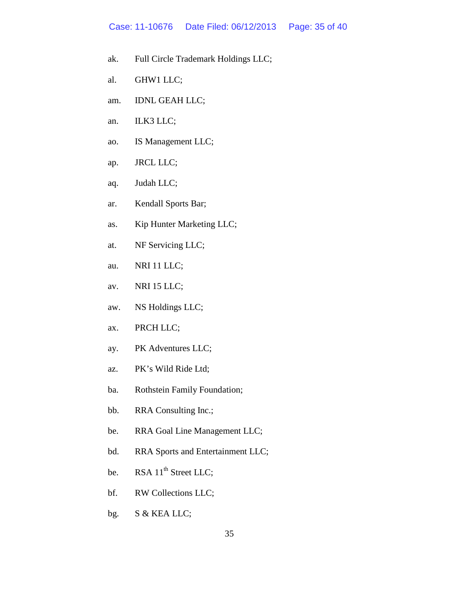#### Case: 11-10676 Date Filed: 06/12/2013 Page: 35 of 40

- ak. Full Circle Trademark Holdings LLC;
- al. GHW1 LLC;
- am. IDNL GEAH LLC;
- an. ILK3 LLC;
- ao. IS Management LLC;
- ap. JRCL LLC;
- aq. Judah LLC;
- ar. Kendall Sports Bar;
- as. Kip Hunter Marketing LLC;
- at. NF Servicing LLC;
- au. NRI 11 LLC;
- av. NRI 15 LLC;
- aw. NS Holdings LLC;
- ax. PRCH LLC;
- ay. PK Adventures LLC;
- az. PK's Wild Ride Ltd;
- ba. Rothstein Family Foundation;
- bb. RRA Consulting Inc.;
- be. RRA Goal Line Management LLC;
- bd. RRA Sports and Entertainment LLC;
- be. RSA  $11<sup>th</sup>$  Street LLC;
- bf. RW Collections LLC;
- bg. S & KEA LLC;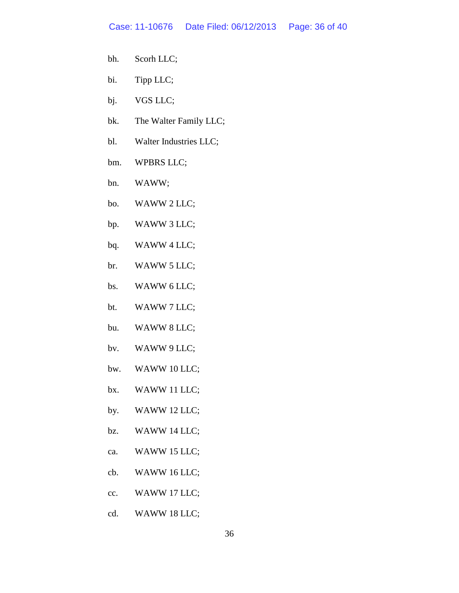- bh. Scorh LLC;
- bi. Tipp LLC;
- bj. VGS LLC;
- bk. The Walter Family LLC;
- bl. Walter Industries LLC;
- bm. WPBRS LLC;
- bn. WAWW;
- bo. WAWW 2 LLC;
- bp. WAWW 3 LLC;
- bq. WAWW 4 LLC;
- br. WAWW 5 LLC;
- bs. WAWW 6 LLC;
- bt. WAWW 7 LLC;
- bu. WAWW 8 LLC;
- bv. WAWW 9 LLC;
- bw. WAWW 10 LLC;
- bx. WAWW 11 LLC;
- by. WAWW 12 LLC;
- bz. WAWW 14 LLC;
- ca. WAWW 15 LLC;
- cb. WAWW 16 LLC;
- cc. WAWW 17 LLC;
- cd. WAWW 18 LLC;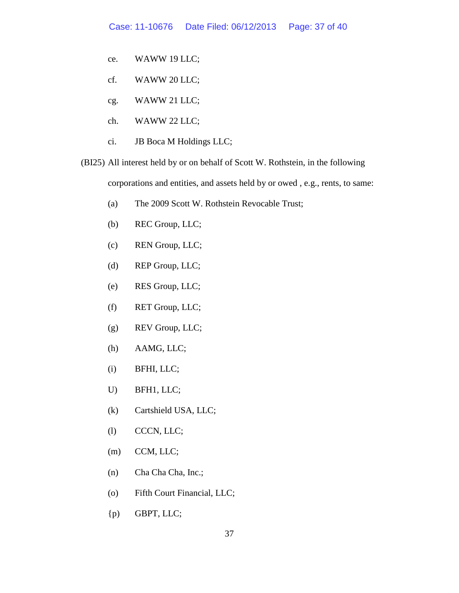- ce. WAWW 19 LLC;
- cf. WAWW 20 LLC;
- cg. WAWW 21 LLC;
- ch. WAWW 22 LLC;
- ci. JB Boca M Holdings LLC;
- (BI25) All interest held by or on behalf of Scott W. Rothstein, in the following corporations and entities, and assets held by or owed , e.g., rents, to same:
	- (a) The 2009 Scott W. Rothstein Revocable Trust;
	- (b) REC Group, LLC;
	- (c) REN Group, LLC;
	- (d) REP Group, LLC;
	- (e) RES Group, LLC;
	- (f) RET Group, LLC;
	- (g) REV Group, LLC;
	- (h) AAMG, LLC;
	- (i) BFHI, LLC;
	- U) BFH1, LLC;
	- (k) Cartshield USA, LLC;
	- (l) CCCN, LLC;
	- (m) CCM, LLC;
	- (n) Cha Cha Cha, Inc.;
	- (o) Fifth Court Financial, LLC;
	- {p) GBPT, LLC;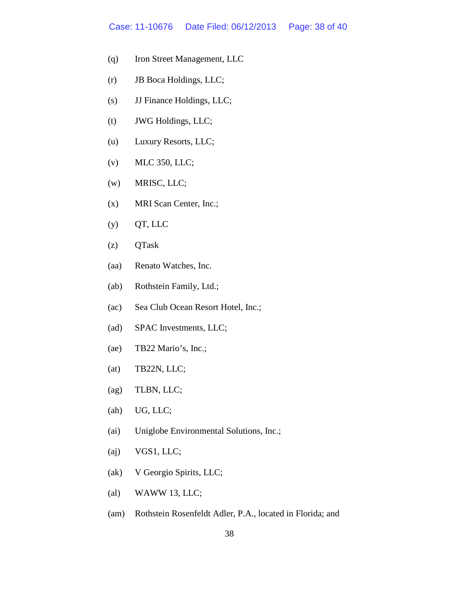#### Case: 11-10676 Date Filed: 06/12/2013 Page: 38 of 40

- (q) Iron Street Management, LLC
- (r) JB Boca Holdings, LLC;
- (s) JJ Finance Holdings, LLC;
- (t) JWG Holdings, LLC;
- (u) Luxury Resorts, LLC;
- (v) MLC 350, LLC;
- (w) MRISC, LLC;
- (x) MRI Scan Center, Inc.;
- $(y)$  QT, LLC
- (z) QTask
- (aa) Renato Watches, Inc.
- (ab) Rothstein Family, Ltd.;
- (ac) Sea Club Ocean Resort Hotel, Inc.;
- (ad) SPAC Investments, LLC;
- (ae) TB22 Mario's, Inc.;
- (at) TB22N, LLC;
- (ag) TLBN, LLC;
- (ah) UG, LLC;
- (ai) Uniglobe Environmental Solutions, Inc.;
- (aj) VGS1, LLC;
- (ak) V Georgio Spirits, LLC;
- (al) WAWW 13, LLC;
- (am) Rothstein Rosenfeldt Adler, P.A., located in Florida; and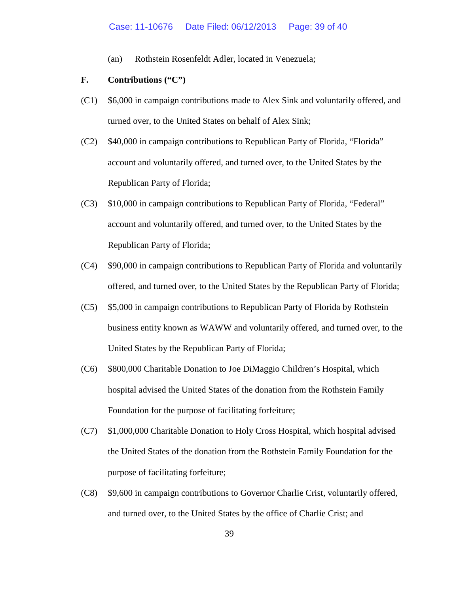(an) Rothstein Rosenfeldt Adler, located in Venezuela;

## **F. Contributions ("C")**

- (C1) \$6,000 in campaign contributions made to Alex Sink and voluntarily offered, and turned over, to the United States on behalf of Alex Sink;
- (C2) \$40,000 in campaign contributions to Republican Party of Florida, "Florida" account and voluntarily offered, and turned over, to the United States by the Republican Party of Florida;
- (C3) \$10,000 in campaign contributions to Republican Party of Florida, "Federal" account and voluntarily offered, and turned over, to the United States by the Republican Party of Florida;
- (C4) \$90,000 in campaign contributions to Republican Party of Florida and voluntarily offered, and turned over, to the United States by the Republican Party of Florida;
- (C5) \$5,000 in campaign contributions to Republican Party of Florida by Rothstein business entity known as WAWW and voluntarily offered, and turned over, to the United States by the Republican Party of Florida;
- (C6) \$800,000 Charitable Donation to Joe DiMaggio Children's Hospital, which hospital advised the United States of the donation from the Rothstein Family Foundation for the purpose of facilitating forfeiture;
- (C7) \$1,000,000 Charitable Donation to Holy Cross Hospital, which hospital advised the United States of the donation from the Rothstein Family Foundation for the purpose of facilitating forfeiture;
- (C8) \$9,600 in campaign contributions to Governor Charlie Crist, voluntarily offered, and turned over, to the United States by the office of Charlie Crist; and